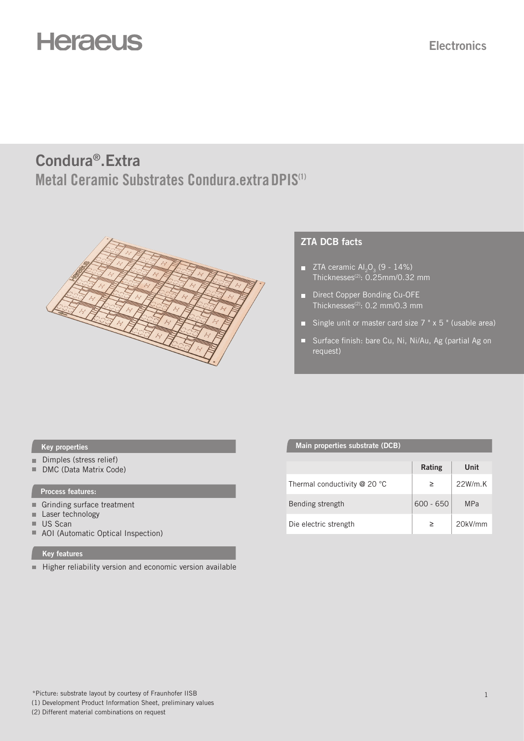# **Heraeus**

# **Metal Ceramic Substrates Condura.extraDPIS(1) Condura®.Extra**



### **ZTA DCB facts**

- $\blacksquare$  ZTA ceramic Al<sub>2</sub>O<sub>3</sub> (9 14%) Thicknesses(2): 0.25mm/0.32 mm
- Direct Copper Bonding Cu-OFE Thicknesses<sup>(2)</sup>: 0.2 mm/0.3 mm
- Single unit or master card size  $7$  "  $\times$  5 " (usable area)
- Surface finish: bare Cu, Ni, Ni/Au, Ag (partial Ag on request)

- Dimples (stress relief)
- DMC (Data Matrix Code)

#### **Process features:**

- Grinding surface treatment
- Laser technology
- US Scan
- AOI (Automatic Optical Inspection)

#### **Key features**

 $\blacksquare$  Higher reliability version and economic version available

#### **Key properties Main properties** substrate (DCB)

|                                | Rating      | Unit       |
|--------------------------------|-------------|------------|
| Thermal conductivity $@$ 20 °C |             | $22W/m$ .K |
| Bending strength               | $600 - 650$ | <b>MPa</b> |
| Die electric strength          |             | 20kV/mm    |

(2) Different material combinations on request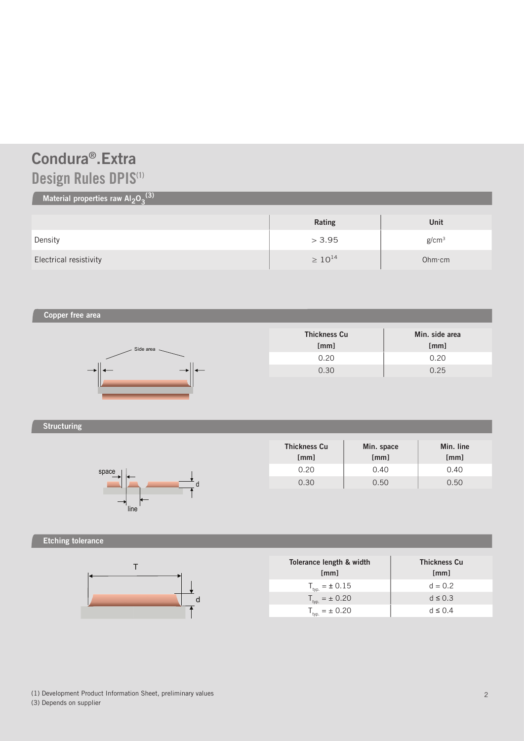# **Design Rules DPIS(1) Condura®.Extra**

### Material properties raw Al<sub>2</sub>O<sub>3</sub><sup>(3)</sup>

|                        | Rating         | Unit              |
|------------------------|----------------|-------------------|
| Density                | > 3.95         | g/cm <sup>3</sup> |
| Electrical resistivity | $\geq 10^{14}$ | Ohm·cm            |

**Copper free area**



| <b>Thickness Cu</b><br>[mm] | Min. side area<br>[mm] |
|-----------------------------|------------------------|
| 0.20                        | 0.20                   |
| 0.30                        | 0.25                   |

### **Structuring**



| <b>Thickness Cu</b><br>[mm] | Min. space<br>[mm] | Min. line<br>[mm] |
|-----------------------------|--------------------|-------------------|
| 0.20                        | 0.40               | 0.40              |
| 0.30                        | 0.50               | 0.50              |

### **Etching tolerance**



| Tolerance length & width<br>[mm] | <b>Thickness Cu</b><br>[mm] |
|----------------------------------|-----------------------------|
| $T_{\text{typ.}} = \pm 0.15$     | $d = 0.2$                   |
| $T_{\text{typ.}} = \pm 0.20$     | $d \leq 0.3$                |
| $T_{\text{typ.}} = \pm 0.20$     | $d \leq 0.4$                |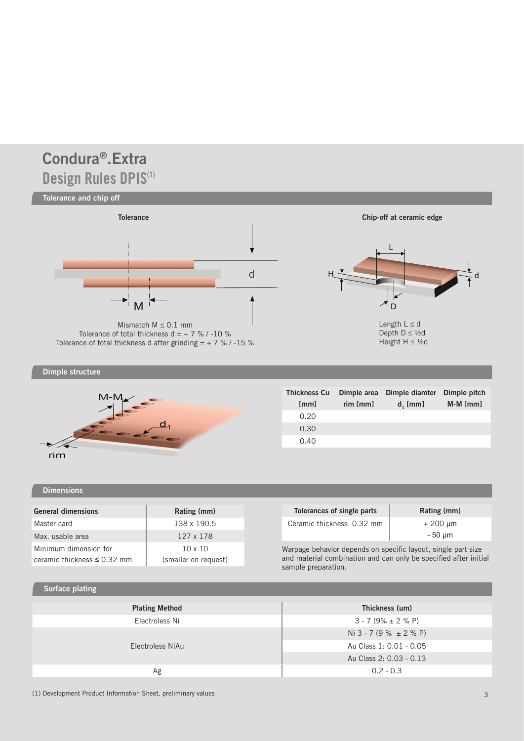# **Design Rules DPIS(1) Condura®.Extra**





| <b>Thickness Cu</b><br>[mm] | Dimple area<br>rim[mm] | Dimple diamter<br>$d_i$ [mm] | Dimple pitch<br>$M-M$ [mm] |
|-----------------------------|------------------------|------------------------------|----------------------------|
| 0.20                        |                        |                              |                            |
| 0.30                        |                        |                              |                            |
| 0.40                        |                        |                              |                            |

### **Dimensions**

| <b>General dimensions</b>        | Rating (mm)          |
|----------------------------------|----------------------|
| Master card                      | 138 x 190.5          |
| Max. usable area                 | 127 x 178            |
| Minimum dimension for            | $10 \times 10$       |
| ceramic thickness $\leq$ 0.32 mm | (smaller on request) |
|                                  |                      |

### **Surface plating**

| Thickness (um)                 |
|--------------------------------|
| $3 - 7(9\% \pm 2\% \text{ P})$ |
| Ni 3 - 7 (9 % $\pm$ 2 % P)     |
| Au Class 1: 0.01 - 0.05        |
| Au Class 2: 0.03 - 0.13        |
| $0.2 - 0.3$                    |
|                                |

(1) Development Product Information Sheet, preliminary values 33 and 33 and 33 and 34 and 34 and 35 and 35 and 35 and 35 and 35 and 35 and 35 and 35 and 35 and 35 and 35 and 35 and 35 and 35 and 35 and 35 and 35 and 35 and